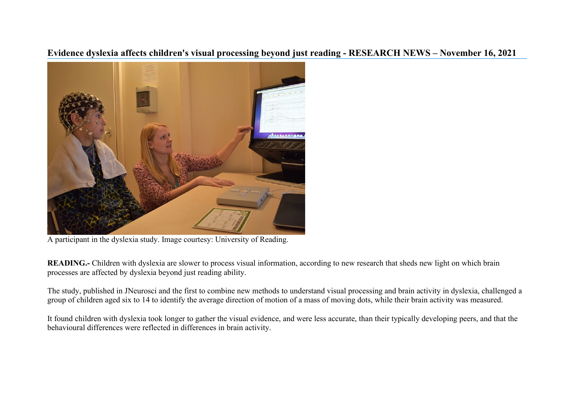## **Evidence dyslexia affects children's visual processing beyond just reading - RESEARCH NEWS – November 16, 2021**



A participant in the dyslexia study. Image courtesy: University of Reading.

**READING.**- Children with dyslexia are slower to process visual information, according to new research that sheds new light on which brain processes are affected by dyslexia beyond just reading ability.

The study, published in JNeurosci and the first to combine new methods to understand visual processing and brain activity in dyslexia, challenged a group of children aged six to 14 to identify the average direction of motion of a mass of moving dots, while their brain activity was measured.

It found children with dyslexia took longer to gather the visual evidence, and were less accurate, than their typically developing peers, and that the behavioural differences were reflected in differences in brain activity.